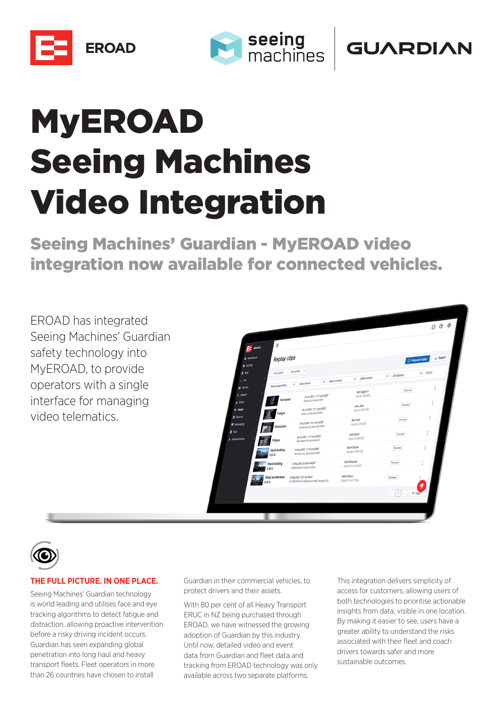





# MyEROAD Seeing Machines Video Integration

Seeing Machines' Guardian - MyEROAD video integration now available for connected vehicles.

EROAD has integrated Seeing Machines' Guardian safety technology into MyEROAD, to provide operators with a single interface for managing video telematics.





#### **THE FULL PICTURE. IN ONE PLACE.**

Seeing Machines' Guardian technology is world leading and utilises face and eye tracking algorithms to detect fatigue and distraction, allowing proactive intervention before a risky driving incident occurs. Guardian has seen expanding global penetration into long haul and heavy transport fleets. Fleet operators in more than 26 countries have chosen to install

Guardian in their commercial vehicles, to protect drivers and their assets.

With 80 per cent of all Heavy Transport ERUC in NZ being purchased through EROAD, we have witnessed the growing adoption of Guardian by this industry. Until now, detailed video and event data from Guardian and fleet data and tracking from EROAD technology was only available across two separate platforms.

This integration delivers simplicity of access for customers, allowing users of both technologies to prioritise actionable insights from data, visible in one location. By making it easier to see, users have a greater ability to understand the risks associated with their fleet and coach drivers towards safer and more sustainable outcomes.